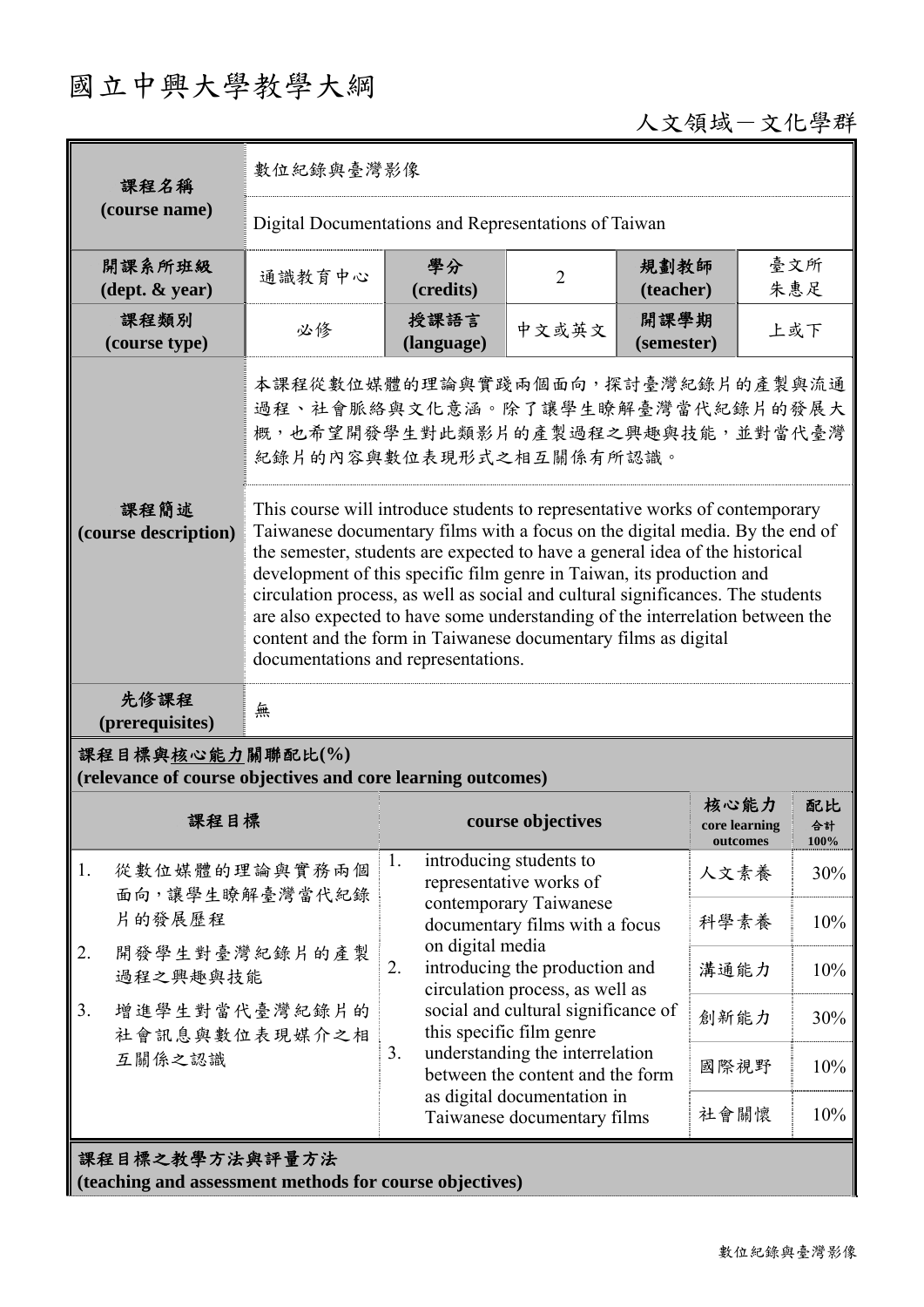## 國立中興大學教學大綱

## 人文領域-文化學群

| 課程名稱                                                                                                                                                                                                                                                                                                                                                                                                                                                                                                                                                                                                                              | 數位紀錄與臺灣影像                                                                                                                          |                                                                           |                                                                                               |                    |                                   |                         |  |
|-----------------------------------------------------------------------------------------------------------------------------------------------------------------------------------------------------------------------------------------------------------------------------------------------------------------------------------------------------------------------------------------------------------------------------------------------------------------------------------------------------------------------------------------------------------------------------------------------------------------------------------|------------------------------------------------------------------------------------------------------------------------------------|---------------------------------------------------------------------------|-----------------------------------------------------------------------------------------------|--------------------|-----------------------------------|-------------------------|--|
| (course name)                                                                                                                                                                                                                                                                                                                                                                                                                                                                                                                                                                                                                     | Digital Documentations and Representations of Taiwan                                                                               |                                                                           |                                                                                               |                    |                                   |                         |  |
| 開課系所班級<br>$(\text{dept.} \& \text{ year})$                                                                                                                                                                                                                                                                                                                                                                                                                                                                                                                                                                                        | 通識教育中心                                                                                                                             | 學分<br>(credits)                                                           | $\overline{2}$                                                                                | 規劃教師<br>(teacher)  |                                   | 臺文所<br>朱惠足              |  |
| 課程類別<br>(course type)                                                                                                                                                                                                                                                                                                                                                                                                                                                                                                                                                                                                             | 必修                                                                                                                                 | 授課語言<br>(language)                                                        | 中文或英文                                                                                         | 開課學期<br>(semester) |                                   | 上或下                     |  |
|                                                                                                                                                                                                                                                                                                                                                                                                                                                                                                                                                                                                                                   | 本課程從數位媒體的理論與實踐兩個面向,探討臺灣紀錄片的產製與流通<br>過程、社會脈絡與文化意涵。除了讓學生瞭解臺灣當代紀錄片的發展大<br>概,也希望開發學生對此類影片的產製過程之興趣與技能,並對當代臺灣<br>紀錄片的內容與數位表現形式之相互關係有所認識。 |                                                                           |                                                                                               |                    |                                   |                         |  |
| 課程簡述<br>This course will introduce students to representative works of contemporary<br>Taiwanese documentary films with a focus on the digital media. By the end of<br>(course description)<br>the semester, students are expected to have a general idea of the historical<br>development of this specific film genre in Taiwan, its production and<br>circulation process, as well as social and cultural significances. The students<br>are also expected to have some understanding of the interrelation between the<br>content and the form in Taiwanese documentary films as digital<br>documentations and representations. |                                                                                                                                    |                                                                           |                                                                                               |                    |                                   |                         |  |
| 先修課程<br>(prerequisites)                                                                                                                                                                                                                                                                                                                                                                                                                                                                                                                                                                                                           | 無                                                                                                                                  |                                                                           |                                                                                               |                    |                                   |                         |  |
| 課程目標與核心能力關聯配比(%)<br>(relevance of course objectives and core learning outcomes)                                                                                                                                                                                                                                                                                                                                                                                                                                                                                                                                                   |                                                                                                                                    |                                                                           |                                                                                               |                    |                                   |                         |  |
| 課程目標                                                                                                                                                                                                                                                                                                                                                                                                                                                                                                                                                                                                                              |                                                                                                                                    | course objectives                                                         |                                                                                               |                    | 核心能力<br>core learning<br>outcomes | 配比<br>合計<br><b>100%</b> |  |
| 1.<br>從數位媒體的理論與實務兩個<br>面向,讓學生瞭解臺灣當代紀錄<br>片的發展歷程                                                                                                                                                                                                                                                                                                                                                                                                                                                                                                                                                                                   |                                                                                                                                    | introducing students to<br>1.<br>representative works of                  |                                                                                               |                    | 人文素養                              | 30%                     |  |
|                                                                                                                                                                                                                                                                                                                                                                                                                                                                                                                                                                                                                                   |                                                                                                                                    |                                                                           | contemporary Taiwanese<br>documentary films with a focus                                      |                    | 科學素養                              | 10%                     |  |
| 開發學生對臺灣紀錄片的產製<br>2.<br>過程之興趣與技能                                                                                                                                                                                                                                                                                                                                                                                                                                                                                                                                                                                                   |                                                                                                                                    | 2.                                                                        | on digital media<br>introducing the production and<br>溝通能力<br>circulation process, as well as |                    |                                   | 10%                     |  |
| 增進學生對當代臺灣紀錄片的<br>3.<br>社會訊息與數位表現媒介之相<br>互關係之認識                                                                                                                                                                                                                                                                                                                                                                                                                                                                                                                                                                                    |                                                                                                                                    | social and cultural significance of<br>this specific film genre           |                                                                                               | 創新能力               | 30%                               |                         |  |
|                                                                                                                                                                                                                                                                                                                                                                                                                                                                                                                                                                                                                                   |                                                                                                                                    | understanding the interrelation<br>3.<br>between the content and the form |                                                                                               | 國際視野               | 10%                               |                         |  |
|                                                                                                                                                                                                                                                                                                                                                                                                                                                                                                                                                                                                                                   |                                                                                                                                    | as digital documentation in<br>Taiwanese documentary films                |                                                                                               |                    | 社會關懷                              | 10%                     |  |
| 課程目標之教學方法與評量方法<br>(teaching and assessment methods for course objectives)                                                                                                                                                                                                                                                                                                                                                                                                                                                                                                                                                         |                                                                                                                                    |                                                                           |                                                                                               |                    |                                   |                         |  |